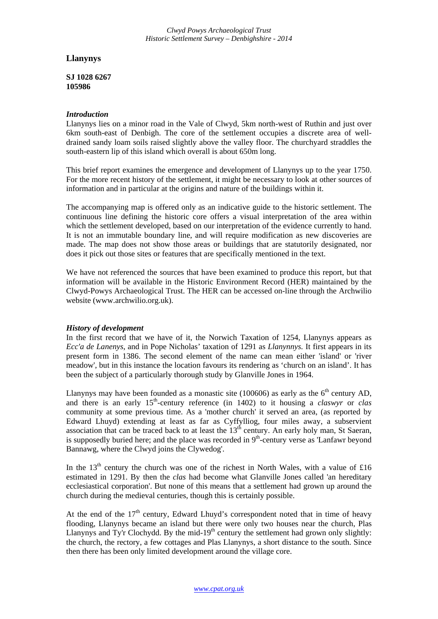*Clwyd Powys Archaeological Trust Historic Settlement Survey – Denbighshire - 2014*

## **Llanynys**

**SJ 1028 6267 105986** 

## *Introduction*

Llanynys lies on a minor road in the Vale of Clwyd, 5km north-west of Ruthin and just over 6km south-east of Denbigh. The core of the settlement occupies a discrete area of welldrained sandy loam soils raised slightly above the valley floor. The churchyard straddles the south-eastern lip of this island which overall is about 650m long.

This brief report examines the emergence and development of Llanynys up to the year 1750. For the more recent history of the settlement, it might be necessary to look at other sources of information and in particular at the origins and nature of the buildings within it.

The accompanying map is offered only as an indicative guide to the historic settlement. The continuous line defining the historic core offers a visual interpretation of the area within which the settlement developed, based on our interpretation of the evidence currently to hand. It is not an immutable boundary line, and will require modification as new discoveries are made. The map does not show those areas or buildings that are statutorily designated, nor does it pick out those sites or features that are specifically mentioned in the text.

We have not referenced the sources that have been examined to produce this report, but that information will be available in the Historic Environment Record (HER) maintained by the Clwyd-Powys Archaeological Trust. The HER can be accessed on-line through the Archwilio website (www.archwilio.org.uk).

## *History of development*

In the first record that we have of it, the Norwich Taxation of 1254, Llanynys appears as *Ecc'a de Lanenys*, and in Pope Nicholas' taxation of 1291 as *Llanynnys.* It first appears in its present form in 1386. The second element of the name can mean either 'island' or 'river meadow', but in this instance the location favours its rendering as 'church on an island'. It has been the subject of a particularly thorough study by Glanville Jones in 1964.

Llanynys may have been founded as a monastic site (100606) as early as the  $6<sup>th</sup>$  century AD, and there is an early 15<sup>th</sup>-century reference (in 1402) to it housing a *claswyr* or *clas* community at some previous time. As a 'mother church' it served an area, (as reported by Edward Lhuyd) extending at least as far as Cyffylliog, four miles away, a subservient association that can be traced back to at least the 13<sup>th</sup> century. An early holy man, St Saeran, is supposedly buried here; and the place was recorded in  $9<sup>th</sup>$ -century verse as 'Lanfawr beyond Bannawg, where the Clwyd joins the Clywedog'.

In the  $13<sup>th</sup>$  century the church was one of the richest in North Wales, with a value of £16 estimated in 1291. By then the *clas* had become what Glanville Jones called 'an hereditary ecclesiastical corporation'. But none of this means that a settlement had grown up around the church during the medieval centuries, though this is certainly possible.

At the end of the  $17<sup>th</sup>$  century, Edward Lhuyd's correspondent noted that in time of heavy flooding, Llanynys became an island but there were only two houses near the church, Plas Llanynys and Ty'r Clochydd. By the mid-19<sup>th</sup> century the settlement had grown only slightly: the church, the rectory, a few cottages and Plas Llanynys, a short distance to the south. Since then there has been only limited development around the village core.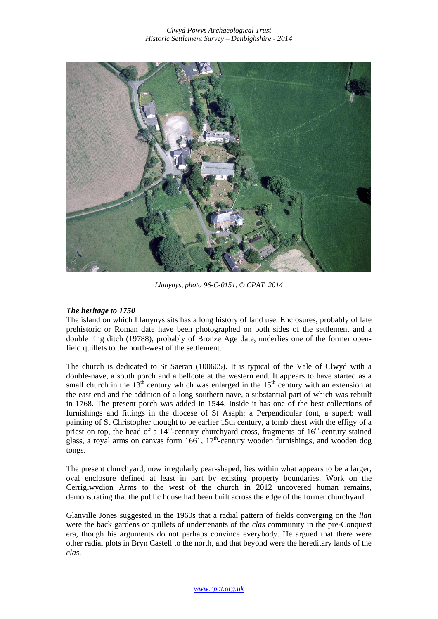

*Llanynys, photo 96-C-0151, © CPAT 2014* 

## *The heritage to 1750*

The island on which Llanynys sits has a long history of land use. Enclosures, probably of late prehistoric or Roman date have been photographed on both sides of the settlement and a double ring ditch (19788), probably of Bronze Age date, underlies one of the former openfield quillets to the north-west of the settlement.

The church is dedicated to St Saeran (100605). It is typical of the Vale of Clwyd with a double-nave, a south porch and a bellcote at the western end. It appears to have started as a small church in the  $13<sup>th</sup>$  century which was enlarged in the  $15<sup>th</sup>$  century with an extension at the east end and the addition of a long southern nave, a substantial part of which was rebuilt in 1768. The present porch was added in 1544. Inside it has one of the best collections of furnishings and fittings in the diocese of St Asaph: a Perpendicular font, a superb wall painting of St Christopher thought to be earlier 15th century, a tomb chest with the effigy of a priest on top, the head of a  $14^{\tilde{th}}$ -century churchyard cross, fragments of  $16^{\tilde{th}}$ -century stained glass, a royal arms on canvas form  $1661$ ,  $17<sup>th</sup>$ -century wooden furnishings, and wooden dog tongs.

The present churchyard, now irregularly pear-shaped, lies within what appears to be a larger, oval enclosure defined at least in part by existing property boundaries. Work on the Cerriglwydion Arms to the west of the church in 2012 uncovered human remains, demonstrating that the public house had been built across the edge of the former churchyard.

Glanville Jones suggested in the 1960s that a radial pattern of fields converging on the *llan*  were the back gardens or quillets of undertenants of the *clas* community in the pre-Conquest era, though his arguments do not perhaps convince everybody. He argued that there were other radial plots in Bryn Castell to the north, and that beyond were the hereditary lands of the *clas*.